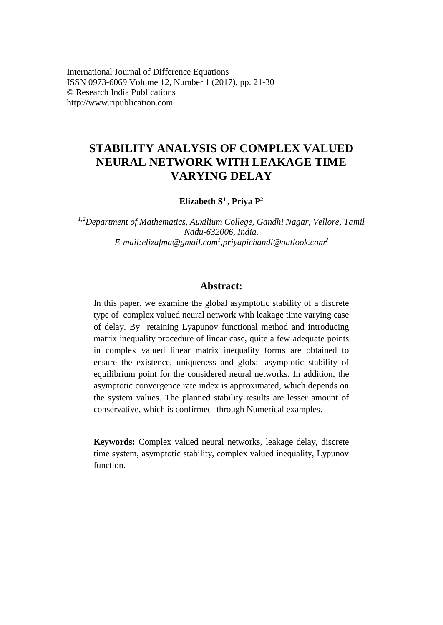# **STABILITY ANALYSIS OF COMPLEX VALUED NEURAL NETWORK WITH LEAKAGE TIME VARYING DELAY**

**Elizabeth S<sup>1</sup>, Priya P<sup>2</sup>**

*1,2Department of Mathematics, Auxilium College, Gandhi Nagar, Vellore, Tamil Nadu-632006, India. E-mail:elizafma@gmail.com<sup>1</sup> ,priyapichandi@outlook.com<sup>2</sup>*

## **Abstract:**

In this paper, we examine the global asymptotic stability of a discrete type of complex valued neural network with leakage time varying case of delay. By retaining Lyapunov functional method and introducing matrix inequality procedure of linear case, quite a few adequate points in complex valued linear matrix inequality forms are obtained to ensure the existence, uniqueness and global asymptotic stability of equilibrium point for the considered neural networks. In addition, the asymptotic convergence rate index is approximated, which depends on the system values. The planned stability results are lesser amount of conservative, which is confirmed through Numerical examples.

**Keywords:** Complex valued neural networks, leakage delay, discrete time system, asymptotic stability, complex valued inequality, Lypunov function.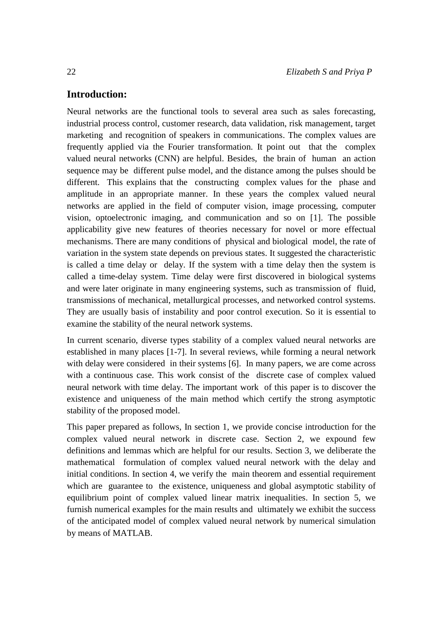## **Introduction:**

Neural networks are the functional tools to several area such as sales forecasting, industrial process control, customer research, data validation, risk management, target marketing and recognition of speakers in communications. The complex values are frequently applied via the Fourier transformation. It point out that the complex valued neural networks (CNN) are helpful. Besides, the brain of human an action sequence may be different pulse model, and the distance among the pulses should be different. This explains that the constructing complex values for the phase and amplitude in an appropriate manner. In these years the complex valued neural networks are applied in the field of computer vision, image processing, computer vision, optoelectronic imaging, and communication and so on [1]. The possible applicability give new features of theories necessary for novel or more effectual mechanisms. There are many conditions of physical and biological model, the rate of variation in the system state depends on previous states. It suggested the characteristic is called a time delay or delay. If the system with a time delay then the system is called a time-delay system. Time delay were first discovered in biological systems and were later originate in many engineering systems, such as transmission of fluid, transmissions of mechanical, metallurgical processes, and networked control systems. They are usually basis of instability and poor control execution. So it is essential to examine the stability of the neural network systems.

In current scenario, diverse types stability of a complex valued neural networks are established in many places [1-7]. In several reviews, while forming a neural network with delay were considered in their systems [6]. In many papers, we are come across with a continuous case. This work consist of the discrete case of complex valued neural network with time delay. The important work of this paper is to discover the existence and uniqueness of the main method which certify the strong asymptotic stability of the proposed model.

This paper prepared as follows, In section 1, we provide concise introduction for the complex valued neural network in discrete case. Section 2, we expound few definitions and lemmas which are helpful for our results. Section 3, we deliberate the mathematical formulation of complex valued neural network with the delay and initial conditions. In section 4, we verify the main theorem and essential requirement which are guarantee to the existence, uniqueness and global asymptotic stability of equilibrium point of complex valued linear matrix inequalities. In section 5, we furnish numerical examples for the main results and ultimately we exhibit the success of the anticipated model of complex valued neural network by numerical simulation by means of MATLAB.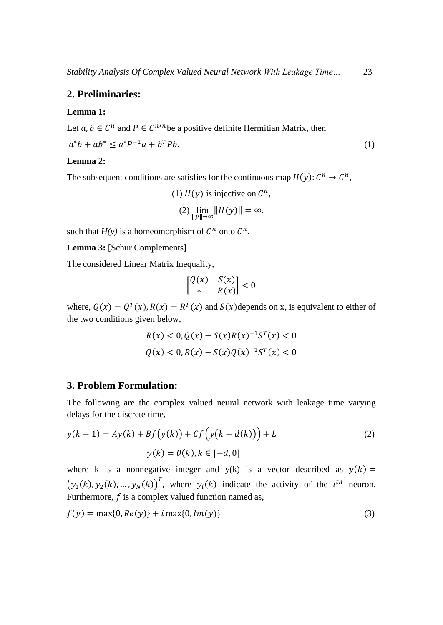## **2. Preliminaries:**

#### **Lemma 1:**

Let  $a, b \in \mathbb{C}^n$  and  $P \in \mathbb{C}^{n \times n}$  be a positive definite Hermitian Matrix, then

$$
a^*b + ab^* \le a^*P^{-1}a + b^T P b. \tag{1}
$$

## **Lemma 2:**

The subsequent conditions are satisfies for the continuous map  $H(y)$ :  $C^n \to C^n$ ,

(1) 
$$
H(y)
$$
 is injective on  $\mathbb{C}^n$ ,  
(2)  $\lim_{\|y\| \to \infty} \|H(y)\| = \infty$ .

such that  $H(y)$  is a homeomorphism of  $C^n$  onto  $C^n$ .

**Lemma 3:** [Schur Complements]

The considered Linear Matrix Inequality,

$$
\begin{bmatrix} Q(x) & S(x) \\ * & R(x) \end{bmatrix} < 0
$$

where,  $Q(x) = Q^T(x)$ ,  $R(x) = R^T(x)$  and  $S(x)$  depends on x, is equivalent to either of the two conditions given below,

$$
R(x) < 0, Q(x) - S(x)R(x)^{-1}S^{T}(x) < 0
$$
\n
$$
Q(x) < 0, R(x) - S(x)Q(x)^{-1}S^{T}(x) < 0
$$

#### **3. Problem Formulation:**

The following are the complex valued neural network with leakage time varying delays for the discrete time,

$$
y(k+1) = Ay(k) + Bf(y(k)) + Cf\left(y(k-d(k))\right) + L
$$
\n
$$
y(k) = \theta(k), k \in [-d, 0]
$$
\n(2)

where k is a nonnegative integer and  $y(k)$  is a vector described as  $y(k) =$  $(y_1(k), y_2(k), ..., y_N(k))^T$ , where  $y_i(k)$  indicate the activity of the  $i^{th}$  neuron. Furthermore,  $f$  is a complex valued function named as,

$$
f(y) = \max\{0, Re(y)\} + i \max\{0, Im(y)\}\tag{3}
$$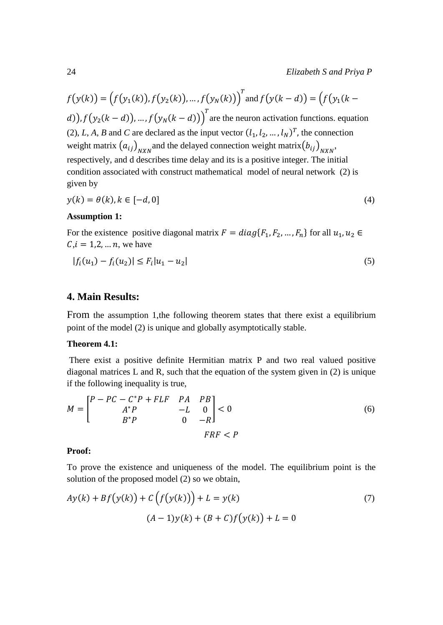$$
f(y(k)) = (f(y_1(k)), f(y_2(k)), ..., f(y_N(k)))^T
$$
 and  $f(y(k - d)) = (f(y_1(k - d)), f(y_2(k - d)), ..., f(y_N(k - d)))^T$  are the neuron activation functions. equation (2), *L*, *A*, *B* and *C* are declared as the input vector  $(l_1, l_2, ..., l_N)^T$ , the connection weight matrix  $(a_{ij})_{N X N}$  and the delayed connection weight matrix  $(b_{ij})_{N X N}$ , respectively, and d describes time delay and its is a positive integer. The initial condition associated with construct mathematical model of neural network (2) is given by

$$
y(k) = \theta(k), k \in [-d, 0]
$$
\n<sup>(4)</sup>

#### **Assumption 1:**

For the existence positive diagonal matrix  $F = diag{F_1, F_2, ..., F_n}$  for all  $u_1, u_2 \in$  $C, i = 1, 2, ..., n$ , we have

$$
|f_i(u_1) - f_i(u_2)| \le F_i |u_1 - u_2| \tag{5}
$$

## **4. Main Results:**

From the assumption 1,the following theorem states that there exist a equilibrium point of the model (2) is unique and globally asymptotically stable.

#### **Theorem 4.1:**

There exist a positive definite Hermitian matrix P and two real valued positive diagonal matrices L and R, such that the equation of the system given in (2) is unique if the following inequality is true,

$$
M = \begin{bmatrix} P - PC - C^*P + FLF & PA & PB \\ A^*P & -L & 0 \\ B^*P & 0 & -R \end{bmatrix} < 0
$$
 (6)

## **Proof:**

To prove the existence and uniqueness of the model. The equilibrium point is the solution of the proposed model (2) so we obtain,

$$
Ay(k) + Bf(y(k)) + C(f(y(k))) + L = y(k)
$$
\n
$$
(A-1)y(k) + (B+C)f(y(k)) + L = 0
$$
\n(7)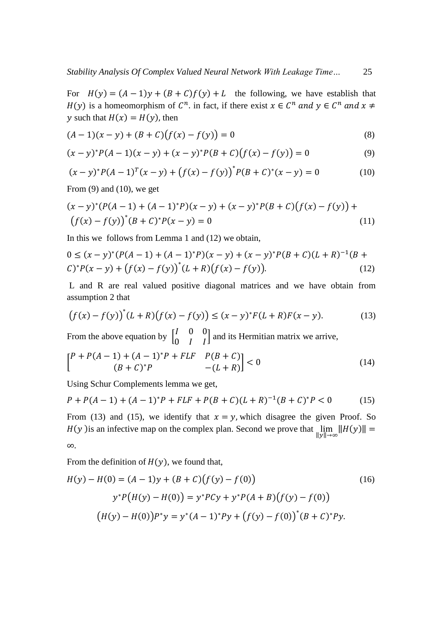For  $H(y) = (A - 1)y + (B + C)f(y) + L$  the following, we have establish that  $H(y)$  is a homeomorphism of  $C^n$ , in fact, if there exist  $x \in C^n$  and  $y \in C^n$  and  $x \neq C^n$ y such that  $H(x) = H(y)$ , then

$$
(A-1)(x - y) + (B + C)(f(x) - f(y)) = 0
$$
\n(8)

$$
(x - y)^* P(A - 1)(x - y) + (x - y)^* P(B + C)(f(x) - f(y)) = 0
$$
\n(9)

$$
(x - y)^* P (A - 1)^T (x - y) + (f(x) - f(y))^* P (B + C)^* (x - y) = 0
$$
 (10)

From  $(9)$  and  $(10)$ , we get

$$
(x - y)^*(P(A - 1) + (A - 1)^*P)(x - y) + (x - y)^*P(B + C)(f(x) - f(y)) +
$$
  

$$
(f(x) - f(y))^*(B + C)^*P(x - y) = 0
$$
 (11)

In this we follows from Lemma 1 and (12) we obtain,

$$
0 \le (x - y)^*(P(A - 1) + (A - 1)^*P)(x - y) + (x - y)^*P(B + C)(L + R)^{-1}(B + C)^*P(x - y) + (f(x) - f(y))^*(L + R)(f(x) - f(y)).
$$
\n(12)

L and R are real valued positive diagonal matrices and we have obtain from assumption 2 that

$$
(f(x) - f(y))^{*}(L + R)(f(x) - f(y)) \le (x - y)^{*}F(L + R)F(x - y).
$$
 (13)

From the above equation by  $\begin{bmatrix} 1 & 0 & 0 \\ 0 & 1 & 0 \end{bmatrix}$  $\begin{bmatrix} 1 & 0 & 0 \\ 0 & 1 & 1 \end{bmatrix}$  and its Hermitian matrix we arrive,

$$
\begin{bmatrix} P + P(A-1) + (A-1)^*P + FLF & P(B+C) \\ (B+C)^*P & -(L+R) \end{bmatrix} < 0
$$
 (14)

Using Schur Complements lemma we get,

$$
P + P(A - 1) + (A - 1)^*P + FLF + P(B + C)(L + R)^{-1}(B + C)^*P < 0 \tag{15}
$$

From (13) and (15), we identify that  $x = y$ , which disagree the given Proof. So  $H(y)$  is an infective map on the complex plan. Second we prove that  $\lim_{\|y\| \to \infty} \|H(y)\| =$ ∞.

From the definition of  $H(y)$ , we found that,

$$
H(y) - H(0) = (A - 1)y + (B + C)(f(y) - f(0))
$$
\n
$$
y^*P(H(y) - H(0)) = y^*P(y + y^*P(A + B)(f(y) - f(0))
$$
\n
$$
(H(y) - H(0))P^*y = y^*(A - 1)^*Py + (f(y) - f(0))^*(B + C)^*Py.
$$
\n(16)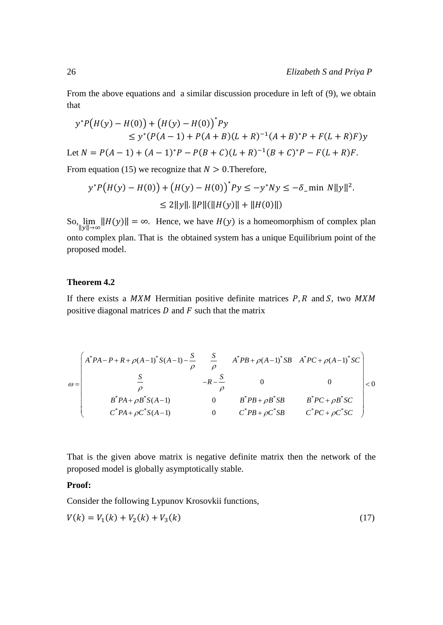From the above equations and a similar discussion procedure in left of (9), we obtain that

$$
y^*P(H(y) - H(0)) + (H(y) - H(0))^*Py
$$
  
\n
$$
\leq y^*(P(A-1) + P(A+B)(L+R)^{-1}(A+B)^*P + F(L+R)F)y
$$
  
\nLet  $N = P(A-1) + (A-1)^*P - P(B+C)(L+R)^{-1}(B+C)^*P - F(L+R)F$ .

From equation (15) we recognize that  $N > 0$ . Therefore,

$$
y^*P(H(y) - H(0)) + (H(y) - H(0))^*Py \le -y^*Ny \le -\delta_-\min N||y||^2.
$$
  
\n
$$
\le 2||y||.||P||(||H(y)|| + ||H(0)||)
$$

So,  $\lim_{\|y\| \to \infty} \|H(y)\| = \infty$ . Hence, we have  $H(y)$  is a homeomorphism of complex plan onto complex plan. That is the obtained system has a unique Equilibrium point of the proposed model.

#### **Theorem 4.2**

If there exists a  $MXM$  Hermitian positive definite matrices  $P, R$  and  $S$ , two  $MXM$ positive diagonal matrices  $D$  and  $F$  such that the matrix

$$
\omega = \begin{pmatrix} A^* P A - P + R + \rho (A - 1)^* S (A - 1) - \frac{S}{\rho} & \frac{S}{\rho} & A^* P B + \rho (A - 1)^* S B & A^* P C + \rho (A - 1)^* S C \\ \frac{S}{\rho} & -R - \frac{S}{\rho} & 0 & 0 \\ B^* P A + \rho B^* S (A - 1) & 0 & B^* P B + \rho B^* S B & B^* P C + \rho B^* S C \\ C^* P A + \rho C^* S (A - 1) & 0 & C^* P B + \rho C^* S B & C^* P C + \rho C^* S C \end{pmatrix} < 0
$$

That is the given above matrix is negative definite matrix then the network of the proposed model is globally asymptotically stable.

## **Proof:**

Consider the following Lypunov Krosovkii functions,

$$
V(k) = V_1(k) + V_2(k) + V_3(k)
$$
\n(17)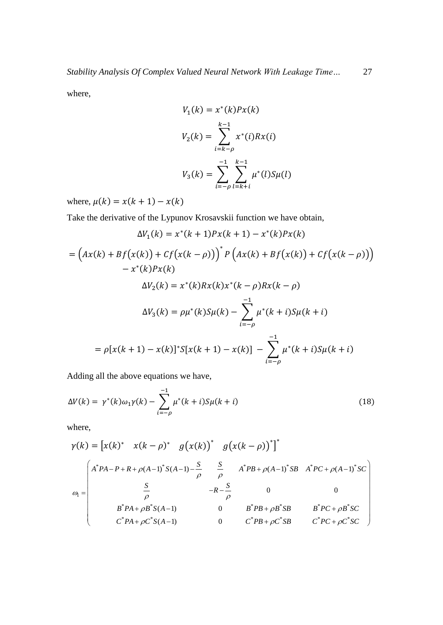where,

$$
V_1(k) = x^*(k)Px(k)
$$
  
\n
$$
V_2(k) = \sum_{i=k-\rho}^{k-1} x^*(i)Rx(i)
$$
  
\n
$$
V_3(k) = \sum_{i=-\rho}^{-1} \sum_{l=k+i}^{k-1} \mu^*(l)S\mu(l)
$$

where,  $\mu(k) = x(k + 1) - x(k)$ 

Take the derivative of the Lypunov Krosavskii function we have obtain,

$$
\Delta V_1(k) = x^*(k+1)Px(k+1) - x^*(k)Px(k)
$$
  
=  $(Ax(k) + Bf(x(k)) + Cf(x(k-\rho)))^*P\left(Ax(k) + Bf(x(k)) + Cf(x(k-\rho))\right)$   
 $- x^*(k)Px(k)$   

$$
\Delta V_2(k) = x^*(k)Rx(k)x^*(k-\rho)Rx(k-\rho)
$$
  

$$
\Delta V_3(k) = \rho\mu^*(k)S\mu(k) - \sum_{i=-\rho}^{-1} \mu^*(k+i)S\mu(k+i)
$$
  
=  $\rho[x(k+1) - x(k)]^*S[x(k+1) - x(k)] - \sum_{i=-\rho}^{-1} \mu^*(k+i)S\mu(k+i)$ 

Adding all the above equations we have,

$$
\Delta V(k) = \gamma^*(k)\omega_1 \gamma(k) - \sum_{i=-\rho}^{-1} \mu^*(k+i) S\mu(k+i)
$$
\n(18)

where,

$$
\gamma(k) = \begin{bmatrix} x(k)^* & x(k-\rho)^* & g(x(k))^* & g(x(k-\rho))^* \end{bmatrix}^*
$$
  
\n
$$
\omega_1 = \begin{pmatrix} A^*PA - P + R + \rho(A-1)^*S(A-1) - \frac{S}{\rho} & \frac{S}{\rho} & A^*PB + \rho(A-1)^*SB & A^*PC + \rho(A-1)^*SC \\ \frac{S}{\rho} & -R - \frac{S}{\rho} & 0 & 0 \\ B^*PA + \rho B^*S(A-1) & 0 & B^*PB + \rho B^*SB & B^*PC + \rho B^*SC \\ C^*PA + \rho C^*S(A-1) & 0 & C^*PB + \rho C^*SB & C^*PC + \rho C^*SC \end{bmatrix}
$$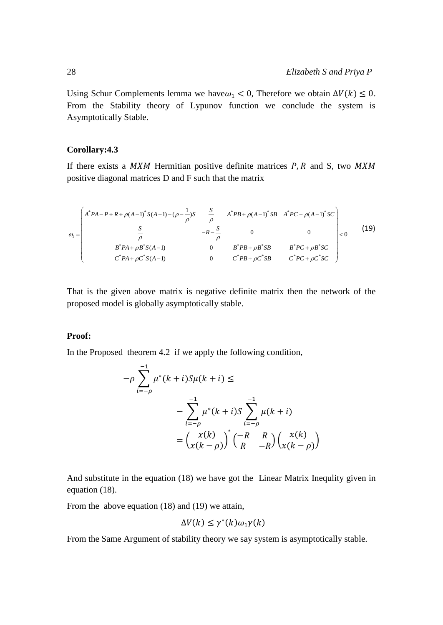Using Schur Complements lemma we have $\omega_1$  < 0, Therefore we obtain  $\Delta V(k) \leq 0$ . From the Stability theory of Lypunov function we conclude the system is Asymptotically Stable.

#### **Corollary:4.3**

If there exists a  $MXM$  Hermitian positive definite matrices  $P, R$  and S, two  $MXM$ positive diagonal matrices D and F such that the matrix

$$
\omega_{1} = \begin{pmatrix}\nA^{*}PA - P + R + \rho(A-1)^{*}S(A-1) - (\rho - \frac{1}{\rho})S & \frac{S}{\rho} & A^{*}PB + \rho(A-1)^{*}SB & A^{*}PC + \rho(A-1)^{*}SC \\
\frac{S}{\rho} & -R - \frac{S}{\rho} & 0 & 0 \\
B^{*}PA + \rho B^{*}S(A-1) & 0 & B^{*}PB + \rho B^{*}SB & B^{*}PC + \rho B^{*}SC \\
C^{*}PA + \rho C^{*}S(A-1) & 0 & C^{*}PB + \rho C^{*}SB & C^{*}PC + \rho C^{*}SC\n\end{pmatrix}
$$
\n(19)

That is the given above matrix is negative definite matrix then the network of the proposed model is globally asymptotically stable.

#### **Proof:**

In the Proposed theorem 4.2 if we apply the following condition,

$$
-\rho \sum_{i=-\rho}^{-1} \mu^*(k+i) S \mu(k+i) \le
$$
  
-
$$
\sum_{i=-\rho}^{-1} \mu^*(k+i) S \sum_{i=-\rho}^{-1} \mu(k+i)
$$
  
=
$$
\binom{x(k)}{x(k-\rho)}^* \binom{-R & R}{R & -R} \binom{x(k)}{x(k-\rho)}
$$

And substitute in the equation (18) we have got the Linear Matrix Inequlity given in equation (18).

From the above equation (18) and (19) we attain,

$$
\Delta V(k) \le \gamma^*(k) \omega_1 \gamma(k)
$$

From the Same Argument of stability theory we say system is asymptotically stable.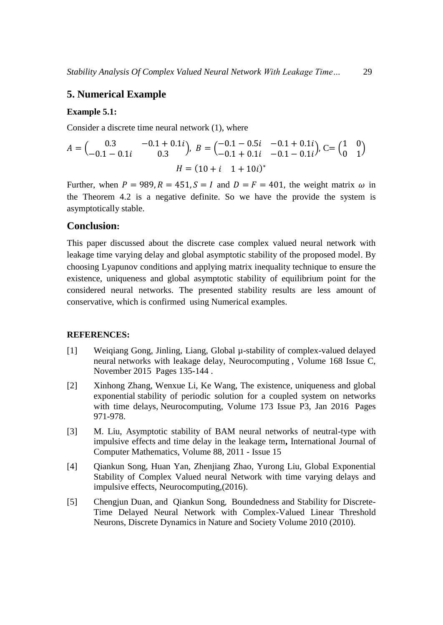## **5. Numerical Example**

#### **Example 5.1:**

Consider a discrete time neural network (1), where

$$
A = \begin{pmatrix} 0.3 & -0.1 + 0.1i \\ -0.1 - 0.1i & 0.3 \end{pmatrix}, B = \begin{pmatrix} -0.1 - 0.5i & -0.1 + 0.1i \\ -0.1 + 0.1i & -0.1 - 0.1i \end{pmatrix}, C = \begin{pmatrix} 1 & 0 \\ 0 & 1 \end{pmatrix}
$$

$$
H = (10 + i \quad 1 + 10i)^*
$$

Further, when  $P = 989$ ,  $R = 451$ ,  $S = I$  and  $D = F = 401$ , the weight matrix  $\omega$  in the Theorem 4.2 is a negative definite. So we have the provide the system is asymptotically stable.

## **Conclusion:**

This paper discussed about the discrete case complex valued neural network with leakage time varying delay and global asymptotic stability of the proposed model. By choosing Lyapunov conditions and applying matrix inequality technique to ensure the existence, uniqueness and global asymptotic stability of equilibrium point for the considered neural networks. The presented stability results are less amount of conservative, which is confirmed using Numerical examples.

#### **REFERENCES:**

- [1] Weiqiang Gong, Jinling, Liang, Global µ-stability of complex-valued delayed neural networks with leakage delay, Neurocomputing , Volume 168 Issue C, November 2015 Pages 135-144 .
- [2] Xinhong Zhang, Wenxue Li, Ke Wang, The existence, uniqueness and global exponential stability of periodic solution for a coupled system on networks with time delays, Neurocomputing, Volume 173 Issue P3, Jan 2016 Pages 971-978.
- [3] M. Liu, Asymptotic stability of BAM neural networks of neutral-type with impulsive effects and time delay in the leakage term**,** [International Journal of](http://www.tandfonline.com/toc/gcom20/current)  [Computer Mathematics,](http://www.tandfonline.com/toc/gcom20/current) Volume 88, 2011 - [Issue 15](http://www.tandfonline.com/toc/gcom20/88/15)
- [4] Qiankun Song, Huan Yan, Zhenjiang Zhao, Yurong Liu, Global Exponential Stability of Complex Valued neural Network with time varying delays and impulsive effects, Neurocomputing,(2016).
- [5] [Chengjun Duan,](https://www.hindawi.com/63147057/) and [Qiankun Song](https://www.hindawi.com/24278363/), Boundedness and Stability for Discrete-Time Delayed Neural Network with Complex-Valued Linear Threshold Neurons, Discrete Dynamics in Nature and Society Volume 2010 (2010).